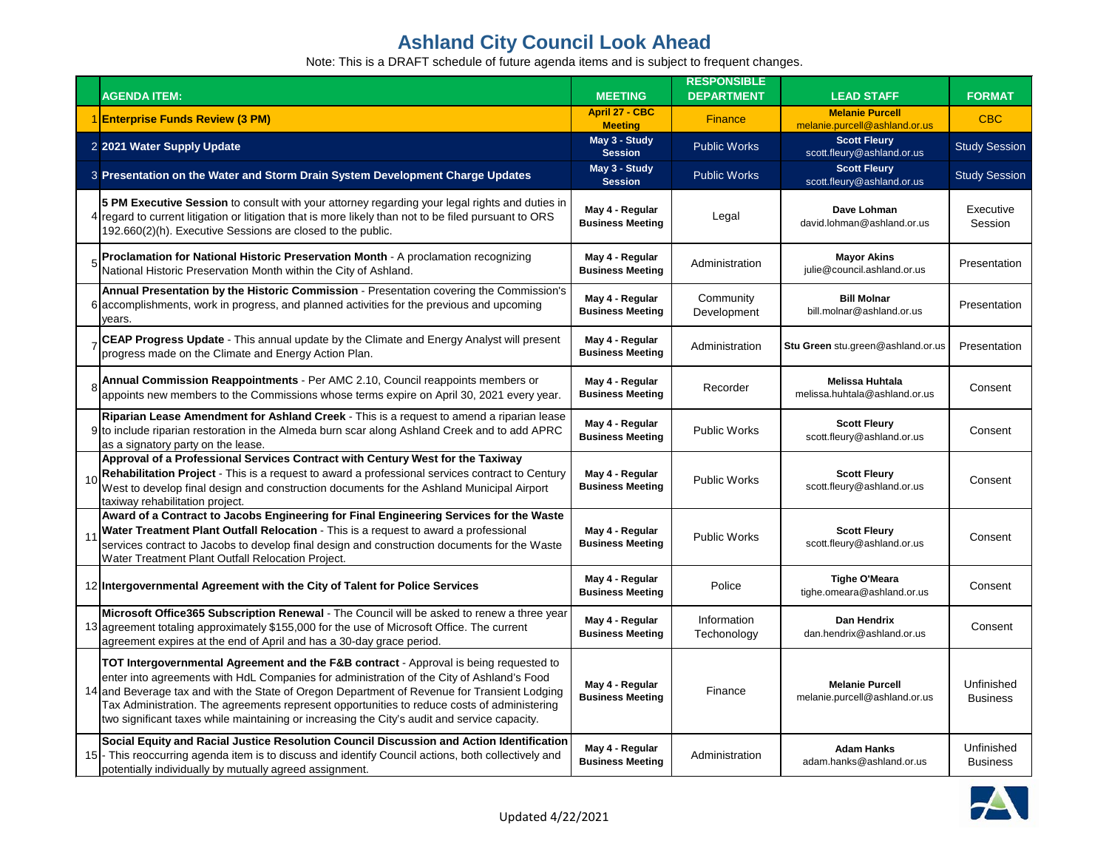|    | <b>AGENDA ITEM:</b>                                                                                                                                                                                                                                                                                                                                                                                                                                                               | <b>MEETING</b>                             | <b>RESPONSIBLE</b><br><b>DEPARTMENT</b> | <b>LEAD STAFF</b>                                       | <b>FORMAT</b>                 |
|----|-----------------------------------------------------------------------------------------------------------------------------------------------------------------------------------------------------------------------------------------------------------------------------------------------------------------------------------------------------------------------------------------------------------------------------------------------------------------------------------|--------------------------------------------|-----------------------------------------|---------------------------------------------------------|-------------------------------|
|    | 1 Enterprise Funds Review (3 PM)                                                                                                                                                                                                                                                                                                                                                                                                                                                  | <b>April 27 - CBC</b><br><b>Meeting</b>    | <b>Finance</b>                          | <b>Melanie Purcell</b><br>melanie.purcell@ashland.or.us | <b>CBC</b>                    |
|    | 2 2021 Water Supply Update                                                                                                                                                                                                                                                                                                                                                                                                                                                        | May 3 - Study<br><b>Session</b>            | <b>Public Works</b>                     | <b>Scott Fleury</b><br>scott.fleury@ashland.or.us       | <b>Study Session</b>          |
|    | 3 Presentation on the Water and Storm Drain System Development Charge Updates                                                                                                                                                                                                                                                                                                                                                                                                     | May 3 - Study<br><b>Session</b>            | <b>Public Works</b>                     | <b>Scott Fleury</b><br>scott.fleury@ashland.or.us       | <b>Study Session</b>          |
|    | 5 PM Executive Session to consult with your attorney regarding your legal rights and duties in<br>4 regard to current litigation or litigation that is more likely than not to be filed pursuant to ORS<br>192.660(2)(h). Executive Sessions are closed to the public.                                                                                                                                                                                                            | May 4 - Regular<br><b>Business Meeting</b> | Legal                                   | Dave Lohman<br>david.lohman@ashland.or.us               | Executive<br>Session          |
|    | Proclamation for National Historic Preservation Month - A proclamation recognizing<br>National Historic Preservation Month within the City of Ashland.                                                                                                                                                                                                                                                                                                                            | May 4 - Regular<br><b>Business Meeting</b> | Administration                          | <b>Mayor Akins</b><br>julie@council.ashland.or.us       | Presentation                  |
|    | Annual Presentation by the Historic Commission - Presentation covering the Commission's<br>6 accomplishments, work in progress, and planned activities for the previous and upcoming<br>vears.                                                                                                                                                                                                                                                                                    | May 4 - Regular<br><b>Business Meeting</b> | Community<br>Development                | <b>Bill Molnar</b><br>bill.molnar@ashland.or.us         | Presentation                  |
|    | CEAP Progress Update - This annual update by the Climate and Energy Analyst will present<br>progress made on the Climate and Energy Action Plan.                                                                                                                                                                                                                                                                                                                                  | May 4 - Regular<br><b>Business Meeting</b> | Administration                          | Stu Green stu.green@ashland.or.us                       | Presentation                  |
|    | Annual Commission Reappointments - Per AMC 2.10, Council reappoints members or<br>appoints new members to the Commissions whose terms expire on April 30, 2021 every year.                                                                                                                                                                                                                                                                                                        | May 4 - Regular<br><b>Business Meeting</b> | Recorder                                | <b>Melissa Huhtala</b><br>melissa.huhtala@ashland.or.us | Consent                       |
|    | Riparian Lease Amendment for Ashland Creek - This is a request to amend a riparian lease<br>9 to include riparian restoration in the Almeda burn scar along Ashland Creek and to add APRC<br>as a signatory party on the lease.                                                                                                                                                                                                                                                   | May 4 - Regular<br><b>Business Meeting</b> | <b>Public Works</b>                     | <b>Scott Fleury</b><br>scott.fleury@ashland.or.us       | Consent                       |
| 10 | Approval of a Professional Services Contract with Century West for the Taxiway<br>Rehabilitation Project - This is a request to award a professional services contract to Century<br>West to develop final design and construction documents for the Ashland Municipal Airport<br>taxiway rehabilitation project.                                                                                                                                                                 | May 4 - Regular<br><b>Business Meeting</b> | <b>Public Works</b>                     | <b>Scott Fleury</b><br>scott.fleury@ashland.or.us       | Consent                       |
|    | Award of a Contract to Jacobs Engineering for Final Engineering Services for the Waste<br>Water Treatment Plant Outfall Relocation - This is a request to award a professional<br>services contract to Jacobs to develop final design and construction documents for the Waste<br>Water Treatment Plant Outfall Relocation Project.                                                                                                                                               | May 4 - Regular<br><b>Business Meeting</b> | <b>Public Works</b>                     | <b>Scott Fleury</b><br>scott.fleury@ashland.or.us       | Consent                       |
|    | 12 Intergovernmental Agreement with the City of Talent for Police Services                                                                                                                                                                                                                                                                                                                                                                                                        | May 4 - Regular<br><b>Business Meeting</b> | Police                                  | <b>Tighe O'Meara</b><br>tighe.omeara@ashland.or.us      | Consent                       |
|    | Microsoft Office365 Subscription Renewal - The Council will be asked to renew a three year<br>13 agreement totaling approximately \$155,000 for the use of Microsoft Office. The current<br>agreement expires at the end of April and has a 30-day grace period.                                                                                                                                                                                                                  | May 4 - Regular<br><b>Business Meeting</b> | Information<br>Techonology              | Dan Hendrix<br>dan.hendrix@ashland.or.us                | Consent                       |
|    | TOT Intergovernmental Agreement and the F&B contract - Approval is being requested to<br>enter into agreements with HdL Companies for administration of the City of Ashland's Food<br>14 and Beverage tax and with the State of Oregon Department of Revenue for Transient Lodging<br>Tax Administration. The agreements represent opportunities to reduce costs of administering<br>two significant taxes while maintaining or increasing the City's audit and service capacity. | May 4 - Regular<br><b>Business Meeting</b> | Finance                                 | <b>Melanie Purcell</b><br>melanie.purcell@ashland.or.us | Unfinished<br><b>Business</b> |
|    | Social Equity and Racial Justice Resolution Council Discussion and Action Identification<br>15 - This reoccurring agenda item is to discuss and identify Council actions, both collectively and<br>potentially individually by mutually agreed assignment.                                                                                                                                                                                                                        | May 4 - Regular<br><b>Business Meeting</b> | Administration                          | <b>Adam Hanks</b><br>adam.hanks@ashland.or.us           | Unfinished<br><b>Business</b> |

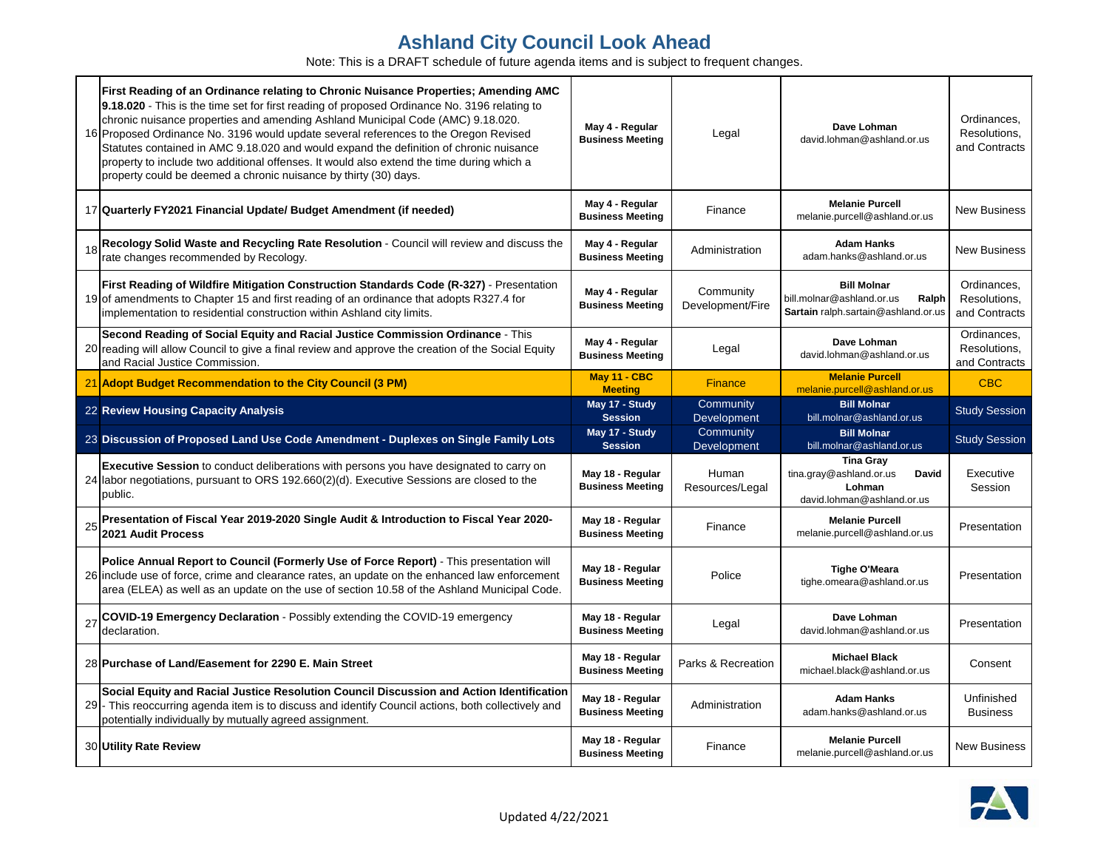|    | First Reading of an Ordinance relating to Chronic Nuisance Properties; Amending AMC<br>9.18.020 - This is the time set for first reading of proposed Ordinance No. 3196 relating to<br>chronic nuisance properties and amending Ashland Municipal Code (AMC) 9.18.020.<br>16 Proposed Ordinance No. 3196 would update several references to the Oregon Revised<br>Statutes contained in AMC 9.18.020 and would expand the definition of chronic nuisance<br>property to include two additional offenses. It would also extend the time during which a<br>property could be deemed a chronic nuisance by thirty (30) days. | May 4 - Regular<br><b>Business Meeting</b>  | Legal                         | Dave Lohman<br>david.lohman@ashland.or.us                                                       | Ordinances,<br>Resolutions,<br>and Contracts |
|----|---------------------------------------------------------------------------------------------------------------------------------------------------------------------------------------------------------------------------------------------------------------------------------------------------------------------------------------------------------------------------------------------------------------------------------------------------------------------------------------------------------------------------------------------------------------------------------------------------------------------------|---------------------------------------------|-------------------------------|-------------------------------------------------------------------------------------------------|----------------------------------------------|
|    | 17 Quarterly FY2021 Financial Update/ Budget Amendment (if needed)                                                                                                                                                                                                                                                                                                                                                                                                                                                                                                                                                        | May 4 - Regular<br><b>Business Meeting</b>  | Finance                       | <b>Melanie Purcell</b><br>melanie.purcell@ashland.or.us                                         | <b>New Business</b>                          |
|    | Recology Solid Waste and Recycling Rate Resolution - Council will review and discuss the<br>rate changes recommended by Recology.                                                                                                                                                                                                                                                                                                                                                                                                                                                                                         | May 4 - Regular<br><b>Business Meeting</b>  | Administration                | <b>Adam Hanks</b><br>adam.hanks@ashland.or.us                                                   | <b>New Business</b>                          |
|    | First Reading of Wildfire Mitigation Construction Standards Code (R-327) - Presentation<br>19 of amendments to Chapter 15 and first reading of an ordinance that adopts R327.4 for<br>implementation to residential construction within Ashland city limits.                                                                                                                                                                                                                                                                                                                                                              | May 4 - Regular<br><b>Business Meeting</b>  | Community<br>Development/Fire | <b>Bill Molnar</b><br>bill.molnar@ashland.or.us<br>Ralph<br>Sartain ralph.sartain@ashland.or.us | Ordinances,<br>Resolutions,<br>and Contracts |
|    | Second Reading of Social Equity and Racial Justice Commission Ordinance - This<br>20 reading will allow Council to give a final review and approve the creation of the Social Equity<br>and Racial Justice Commission.                                                                                                                                                                                                                                                                                                                                                                                                    | May 4 - Regular<br><b>Business Meeting</b>  | Legal                         | Dave Lohman<br>david.lohman@ashland.or.us                                                       | Ordinances,<br>Resolutions,<br>and Contracts |
|    | 21 Adopt Budget Recommendation to the City Council (3 PM)                                                                                                                                                                                                                                                                                                                                                                                                                                                                                                                                                                 | May 11 - CBC<br><b>Meeting</b>              | <b>Finance</b>                | <b>Melanie Purcell</b><br>melanie.purcell@ashland.or.us                                         | <b>CBC</b>                                   |
|    | 22 Review Housing Capacity Analysis                                                                                                                                                                                                                                                                                                                                                                                                                                                                                                                                                                                       | May 17 - Study<br><b>Session</b>            | Community<br>Development      | <b>Bill Molnar</b><br>bill.molnar@ashland.or.us                                                 | <b>Study Session</b>                         |
|    | 23 Discussion of Proposed Land Use Code Amendment - Duplexes on Single Family Lots                                                                                                                                                                                                                                                                                                                                                                                                                                                                                                                                        | May 17 - Study<br><b>Session</b>            | Community<br>Development      | <b>Bill Molnar</b><br>bill.molnar@ashland.or.us                                                 | <b>Study Session</b>                         |
|    | Executive Session to conduct deliberations with persons you have designated to carry on<br>24 Iabor negotiations, pursuant to ORS 192.660(2)(d). Executive Sessions are closed to the<br>public.                                                                                                                                                                                                                                                                                                                                                                                                                          | May 18 - Regular<br><b>Business Meeting</b> | Human<br>Resources/Legal      | <b>Tina Gray</b><br>tina.gray@ashland.or.us<br>David<br>Lohman<br>david.lohman@ashland.or.us    | Executive<br>Session                         |
| 25 | Presentation of Fiscal Year 2019-2020 Single Audit & Introduction to Fiscal Year 2020-<br>2021 Audit Process                                                                                                                                                                                                                                                                                                                                                                                                                                                                                                              | May 18 - Regular<br><b>Business Meeting</b> | Finance                       | <b>Melanie Purcell</b><br>melanie.purcell@ashland.or.us                                         | Presentation                                 |
|    | Police Annual Report to Council (Formerly Use of Force Report) - This presentation will<br>26 include use of force, crime and clearance rates, an update on the enhanced law enforcement<br>area (ELEA) as well as an update on the use of section 10.58 of the Ashland Municipal Code.                                                                                                                                                                                                                                                                                                                                   | May 18 - Regular<br><b>Business Meeting</b> | Police                        | <b>Tighe O'Meara</b><br>tighe.omeara@ashland.or.us                                              | Presentation                                 |
| 27 | COVID-19 Emergency Declaration - Possibly extending the COVID-19 emergency<br>declaration.                                                                                                                                                                                                                                                                                                                                                                                                                                                                                                                                | May 18 - Regular<br><b>Business Meeting</b> | Legal                         | Dave Lohman<br>david.lohman@ashland.or.us                                                       | Presentation                                 |
|    | 28 Purchase of Land/Easement for 2290 E. Main Street                                                                                                                                                                                                                                                                                                                                                                                                                                                                                                                                                                      | May 18 - Regular<br><b>Business Meeting</b> | Parks & Recreation            | <b>Michael Black</b><br>michael.black@ashland.or.us                                             | Consent                                      |
|    | Social Equity and Racial Justice Resolution Council Discussion and Action Identification<br>- This reoccurring agenda item is to discuss and identify Council actions, both collectively and<br>potentially individually by mutually agreed assignment.                                                                                                                                                                                                                                                                                                                                                                   | May 18 - Regular<br><b>Business Meeting</b> | Administration                | <b>Adam Hanks</b><br>adam.hanks@ashland.or.us                                                   | Unfinished<br><b>Business</b>                |
|    | 30 Utility Rate Review                                                                                                                                                                                                                                                                                                                                                                                                                                                                                                                                                                                                    | May 18 - Regular<br><b>Business Meeting</b> | Finance                       | <b>Melanie Purcell</b><br>melanie.purcell@ashland.or.us                                         | <b>New Business</b>                          |

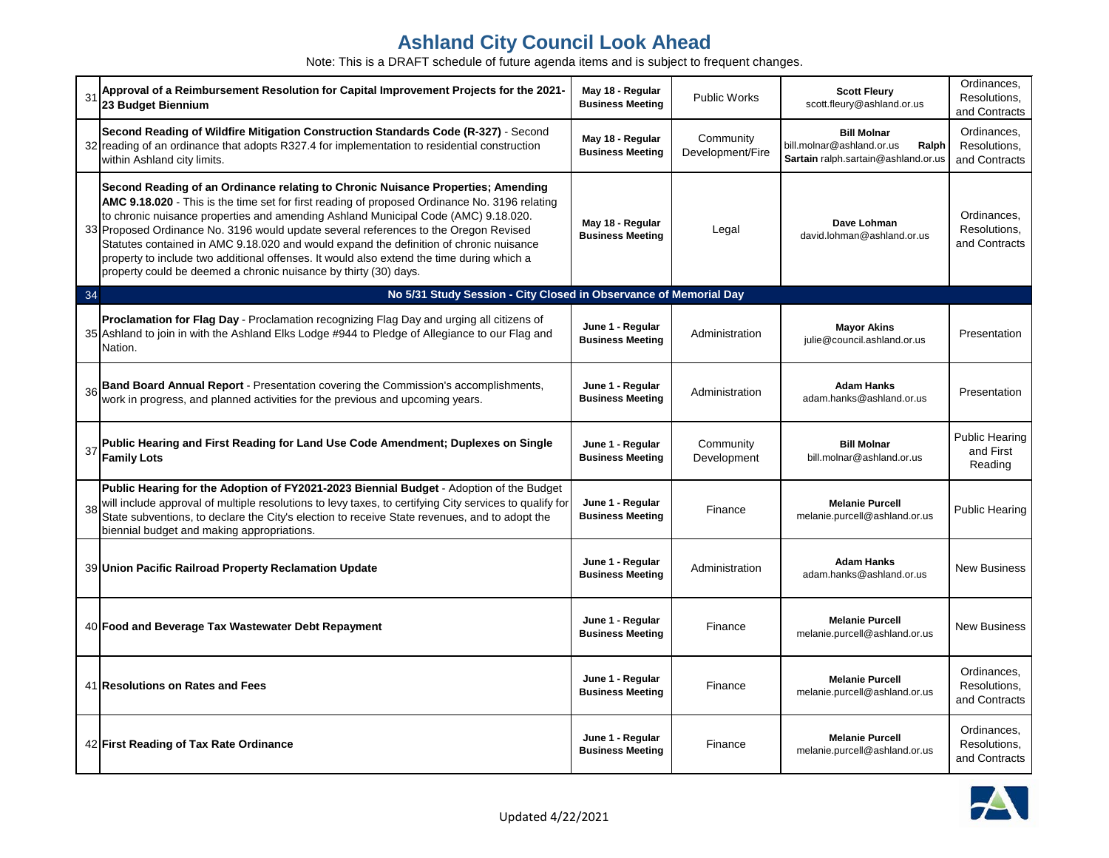| 31 | Approval of a Reimbursement Resolution for Capital Improvement Projects for the 2021-<br>23 Budget Biennium                                                                                                                                                                                                                                                                                                                                                                                                                                                                                                                | May 18 - Regular<br><b>Business Meeting</b> | <b>Public Works</b>           | <b>Scott Fleury</b><br>scott.fleury@ashland.or.us                                               | Ordinances,<br>Resolutions,<br>and Contracts  |
|----|----------------------------------------------------------------------------------------------------------------------------------------------------------------------------------------------------------------------------------------------------------------------------------------------------------------------------------------------------------------------------------------------------------------------------------------------------------------------------------------------------------------------------------------------------------------------------------------------------------------------------|---------------------------------------------|-------------------------------|-------------------------------------------------------------------------------------------------|-----------------------------------------------|
|    | Second Reading of Wildfire Mitigation Construction Standards Code (R-327) - Second<br>32 reading of an ordinance that adopts R327.4 for implementation to residential construction<br>within Ashland city limits.                                                                                                                                                                                                                                                                                                                                                                                                          | May 18 - Regular<br><b>Business Meeting</b> | Community<br>Development/Fire | <b>Bill Molnar</b><br>bill.molnar@ashland.or.us<br>Ralph<br>Sartain ralph.sartain@ashland.or.us | Ordinances,<br>Resolutions,<br>and Contracts  |
|    | Second Reading of an Ordinance relating to Chronic Nuisance Properties; Amending<br>AMC 9.18.020 - This is the time set for first reading of proposed Ordinance No. 3196 relating<br>to chronic nuisance properties and amending Ashland Municipal Code (AMC) 9.18.020.<br>33 Proposed Ordinance No. 3196 would update several references to the Oregon Revised<br>Statutes contained in AMC 9.18.020 and would expand the definition of chronic nuisance<br>property to include two additional offenses. It would also extend the time during which a<br>property could be deemed a chronic nuisance by thirty (30) days. | May 18 - Regular<br><b>Business Meeting</b> | Legal                         | Dave Lohman<br>david.lohman@ashland.or.us                                                       | Ordinances,<br>Resolutions,<br>and Contracts  |
| 34 | No 5/31 Study Session - City Closed in Observance of Memorial Day                                                                                                                                                                                                                                                                                                                                                                                                                                                                                                                                                          |                                             |                               |                                                                                                 |                                               |
|    | Proclamation for Flag Day - Proclamation recognizing Flag Day and urging all citizens of<br>35 Ashland to join in with the Ashland Elks Lodge #944 to Pledge of Allegiance to our Flag and<br>Nation.                                                                                                                                                                                                                                                                                                                                                                                                                      | June 1 - Regular<br><b>Business Meeting</b> | Administration                | <b>Mayor Akins</b><br>julie@council.ashland.or.us                                               | Presentation                                  |
| 36 | Band Board Annual Report - Presentation covering the Commission's accomplishments, work in progress, and planned activities for the previous and upcoming years.                                                                                                                                                                                                                                                                                                                                                                                                                                                           | June 1 - Regular<br><b>Business Meeting</b> | Administration                | <b>Adam Hanks</b><br>adam.hanks@ashland.or.us                                                   | Presentation                                  |
| 37 | Public Hearing and First Reading for Land Use Code Amendment; Duplexes on Single<br><b>Family Lots</b>                                                                                                                                                                                                                                                                                                                                                                                                                                                                                                                     | June 1 - Regular<br><b>Business Meeting</b> | Community<br>Development      | <b>Bill Molnar</b><br>bill.molnar@ashland.or.us                                                 | <b>Public Hearing</b><br>and First<br>Reading |
| 38 | Public Hearing for the Adoption of FY2021-2023 Biennial Budget - Adoption of the Budget<br>will include approval of multiple resolutions to levy taxes, to certifying City services to qualify for<br>State subventions, to declare the City's election to receive State revenues, and to adopt the<br>biennial budget and making appropriations.                                                                                                                                                                                                                                                                          | June 1 - Regular<br><b>Business Meeting</b> | Finance                       | <b>Melanie Purcell</b><br>melanie.purcell@ashland.or.us                                         | <b>Public Hearing</b>                         |
|    | 39 Union Pacific Railroad Property Reclamation Update                                                                                                                                                                                                                                                                                                                                                                                                                                                                                                                                                                      | June 1 - Regular<br><b>Business Meeting</b> | Administration                | <b>Adam Hanks</b><br>adam.hanks@ashland.or.us                                                   | <b>New Business</b>                           |
|    | 40 Food and Beverage Tax Wastewater Debt Repayment                                                                                                                                                                                                                                                                                                                                                                                                                                                                                                                                                                         | June 1 - Regular<br><b>Business Meeting</b> | Finance                       | <b>Melanie Purcell</b><br>melanie.purcell@ashland.or.us                                         | New Business                                  |
|    | 41 Resolutions on Rates and Fees                                                                                                                                                                                                                                                                                                                                                                                                                                                                                                                                                                                           | June 1 - Regular<br><b>Business Meeting</b> | Finance                       | <b>Melanie Purcell</b><br>melanie.purcell@ashland.or.us                                         | Ordinances,<br>Resolutions,<br>and Contracts  |
|    | 42 First Reading of Tax Rate Ordinance                                                                                                                                                                                                                                                                                                                                                                                                                                                                                                                                                                                     | June 1 - Regular<br><b>Business Meeting</b> | Finance                       | <b>Melanie Purcell</b><br>melanie.purcell@ashland.or.us                                         | Ordinances,<br>Resolutions,<br>and Contracts  |

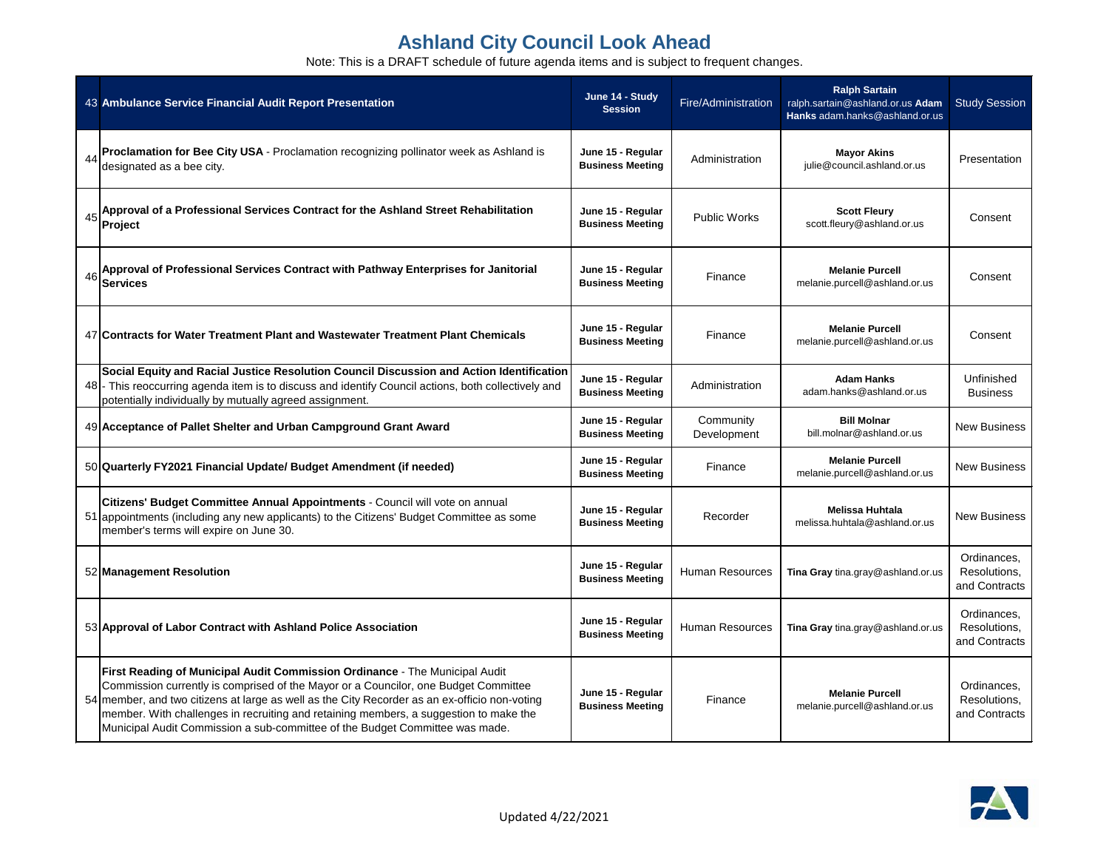|    | 43 Ambulance Service Financial Audit Report Presentation                                                                                                                                                                                                                                                                                                                                                                                     | June 14 - Study<br><b>Session</b>            | Fire/Administration      | <b>Ralph Sartain</b><br>ralph.sartain@ashland.or.us Adam<br>Hanks adam.hanks@ashland.or.us | <b>Study Session</b>                         |
|----|----------------------------------------------------------------------------------------------------------------------------------------------------------------------------------------------------------------------------------------------------------------------------------------------------------------------------------------------------------------------------------------------------------------------------------------------|----------------------------------------------|--------------------------|--------------------------------------------------------------------------------------------|----------------------------------------------|
| 44 | Proclamation for Bee City USA - Proclamation recognizing pollinator week as Ashland is<br>designated as a bee city.                                                                                                                                                                                                                                                                                                                          | June 15 - Regular<br><b>Business Meeting</b> | Administration           | <b>Mayor Akins</b><br>julie@council.ashland.or.us                                          | Presentation                                 |
| 45 | Approval of a Professional Services Contract for the Ashland Street Rehabilitation<br>Project                                                                                                                                                                                                                                                                                                                                                | June 15 - Regular<br><b>Business Meeting</b> | <b>Public Works</b>      | <b>Scott Fleury</b><br>scott.fleury@ashland.or.us                                          | Consent                                      |
| 46 | Approval of Professional Services Contract with Pathway Enterprises for Janitorial<br><b>Services</b>                                                                                                                                                                                                                                                                                                                                        | June 15 - Regular<br><b>Business Meeting</b> | Finance                  | <b>Melanie Purcell</b><br>melanie.purcell@ashland.or.us                                    | Consent                                      |
|    | 47 Contracts for Water Treatment Plant and Wastewater Treatment Plant Chemicals                                                                                                                                                                                                                                                                                                                                                              | June 15 - Regular<br><b>Business Meeting</b> | Finance                  | <b>Melanie Purcell</b><br>melanie.purcell@ashland.or.us                                    | Consent                                      |
|    | Social Equity and Racial Justice Resolution Council Discussion and Action Identification<br>48 - This reoccurring agenda item is to discuss and identify Council actions, both collectively and<br>potentially individually by mutually agreed assignment.                                                                                                                                                                                   | June 15 - Regular<br><b>Business Meeting</b> | Administration           | <b>Adam Hanks</b><br>adam.hanks@ashland.or.us                                              | Unfinished<br><b>Business</b>                |
|    | 49 Acceptance of Pallet Shelter and Urban Campground Grant Award                                                                                                                                                                                                                                                                                                                                                                             | June 15 - Regular<br><b>Business Meeting</b> | Community<br>Development | <b>Bill Molnar</b><br>bill.molnar@ashland.or.us                                            | <b>New Business</b>                          |
|    | 50 Quarterly FY2021 Financial Update/ Budget Amendment (if needed)                                                                                                                                                                                                                                                                                                                                                                           | June 15 - Regular<br><b>Business Meeting</b> | Finance                  | <b>Melanie Purcell</b><br>melanie.purcell@ashland.or.us                                    | <b>New Business</b>                          |
|    | Citizens' Budget Committee Annual Appointments - Council will vote on annual<br>51 appointments (including any new applicants) to the Citizens' Budget Committee as some<br>member's terms will expire on June 30.                                                                                                                                                                                                                           | June 15 - Regular<br><b>Business Meeting</b> | Recorder                 | <b>Melissa Huhtala</b><br>melissa.huhtala@ashland.or.us                                    | <b>New Business</b>                          |
|    | 52 Management Resolution                                                                                                                                                                                                                                                                                                                                                                                                                     | June 15 - Regular<br><b>Business Meeting</b> | <b>Human Resources</b>   | Tina Gray tina.gray@ashland.or.us                                                          | Ordinances,<br>Resolutions,<br>and Contracts |
|    | 53 Approval of Labor Contract with Ashland Police Association                                                                                                                                                                                                                                                                                                                                                                                | June 15 - Regular<br><b>Business Meeting</b> |                          | Human Resources   Tina Gray tina.gray@ashland.or.us                                        | Ordinances,<br>Resolutions.<br>and Contracts |
|    | First Reading of Municipal Audit Commission Ordinance - The Municipal Audit<br>Commission currently is comprised of the Mayor or a Councilor, one Budget Committee<br>54 member, and two citizens at large as well as the City Recorder as an ex-officio non-voting<br>member. With challenges in recruiting and retaining members, a suggestion to make the<br>Municipal Audit Commission a sub-committee of the Budget Committee was made. | June 15 - Regular<br><b>Business Meeting</b> | Finance                  | <b>Melanie Purcell</b><br>melanie.purcell@ashland.or.us                                    | Ordinances,<br>Resolutions,<br>and Contracts |

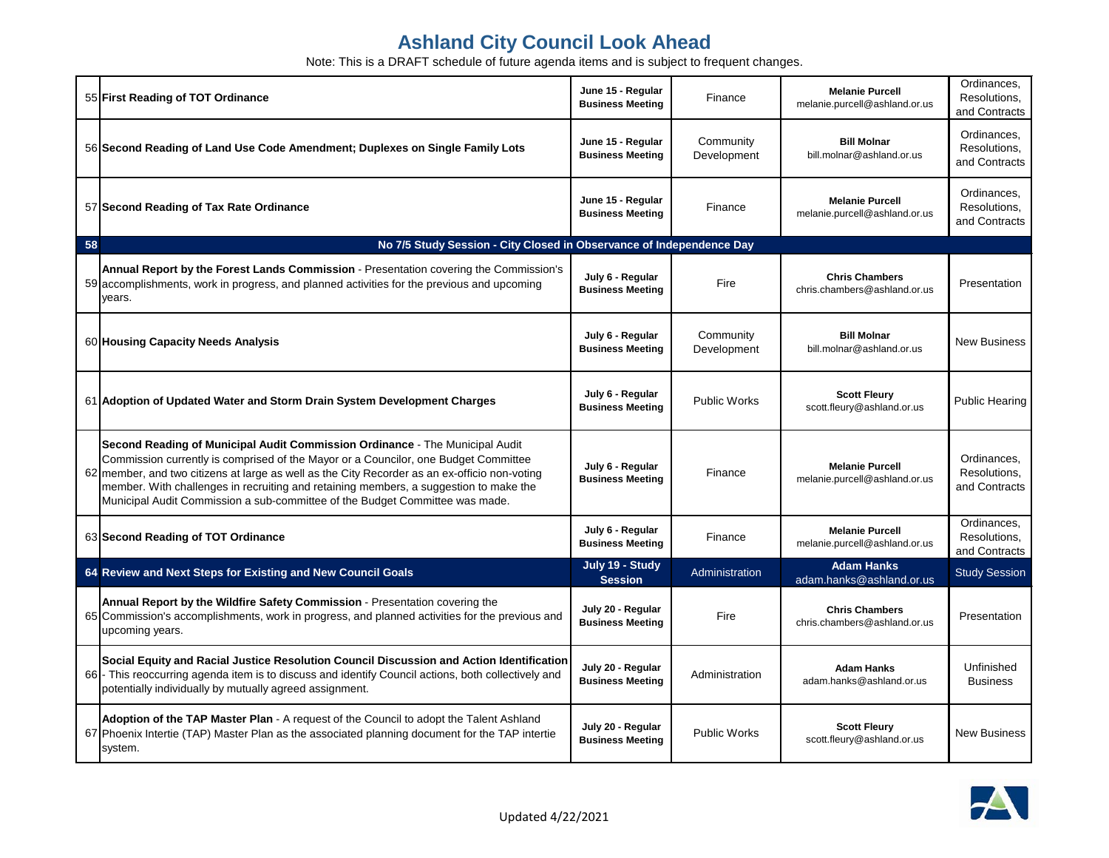|    | 55 First Reading of TOT Ordinance                                                                                                                                                                                                                                                                                                                                                                                                             | June 15 - Regular<br><b>Business Meeting</b> | Finance                  | <b>Melanie Purcell</b><br>melanie.purcell@ashland.or.us | Ordinances,<br>Resolutions,<br>and Contracts |
|----|-----------------------------------------------------------------------------------------------------------------------------------------------------------------------------------------------------------------------------------------------------------------------------------------------------------------------------------------------------------------------------------------------------------------------------------------------|----------------------------------------------|--------------------------|---------------------------------------------------------|----------------------------------------------|
|    | 56 Second Reading of Land Use Code Amendment; Duplexes on Single Family Lots                                                                                                                                                                                                                                                                                                                                                                  | June 15 - Regular<br><b>Business Meeting</b> | Community<br>Development | <b>Bill Molnar</b><br>bill.molnar@ashland.or.us         | Ordinances,<br>Resolutions,<br>and Contracts |
|    | 57 Second Reading of Tax Rate Ordinance                                                                                                                                                                                                                                                                                                                                                                                                       | June 15 - Regular<br><b>Business Meeting</b> | Finance                  | <b>Melanie Purcell</b><br>melanie.purcell@ashland.or.us | Ordinances,<br>Resolutions,<br>and Contracts |
| 58 | No 7/5 Study Session - City Closed in Observance of Independence Day                                                                                                                                                                                                                                                                                                                                                                          |                                              |                          |                                                         |                                              |
|    | Annual Report by the Forest Lands Commission - Presentation covering the Commission's<br>59 accomplishments, work in progress, and planned activities for the previous and upcoming<br>years.                                                                                                                                                                                                                                                 | July 6 - Regular<br><b>Business Meeting</b>  | Fire                     | <b>Chris Chambers</b><br>chris.chambers@ashland.or.us   | Presentation                                 |
|    | 60 Housing Capacity Needs Analysis                                                                                                                                                                                                                                                                                                                                                                                                            | July 6 - Regular<br><b>Business Meeting</b>  | Community<br>Development | <b>Bill Molnar</b><br>bill.molnar@ashland.or.us         | <b>New Business</b>                          |
|    | 61 Adoption of Updated Water and Storm Drain System Development Charges                                                                                                                                                                                                                                                                                                                                                                       | July 6 - Regular<br><b>Business Meeting</b>  | <b>Public Works</b>      | <b>Scott Fleury</b><br>scott.fleury@ashland.or.us       | <b>Public Hearing</b>                        |
|    | Second Reading of Municipal Audit Commission Ordinance - The Municipal Audit<br>Commission currently is comprised of the Mayor or a Councilor, one Budget Committee<br>62 member, and two citizens at large as well as the City Recorder as an ex-officio non-voting<br>member. With challenges in recruiting and retaining members, a suggestion to make the<br>Municipal Audit Commission a sub-committee of the Budget Committee was made. | July 6 - Regular<br><b>Business Meeting</b>  | Finance                  | <b>Melanie Purcell</b><br>melanie.purcell@ashland.or.us | Ordinances,<br>Resolutions,<br>and Contracts |
|    | 63 Second Reading of TOT Ordinance                                                                                                                                                                                                                                                                                                                                                                                                            | July 6 - Regular<br><b>Business Meeting</b>  | Finance                  | <b>Melanie Purcell</b><br>melanie.purcell@ashland.or.us | Ordinances,<br>Resolutions,<br>and Contracts |
|    | 64 Review and Next Steps for Existing and New Council Goals                                                                                                                                                                                                                                                                                                                                                                                   | July 19 - Study<br><b>Session</b>            | Administration           | <b>Adam Hanks</b><br>adam.hanks@ashland.or.us           | <b>Study Session</b>                         |
|    | Annual Report by the Wildfire Safety Commission - Presentation covering the<br>65 Commission's accomplishments, work in progress, and planned activities for the previous and<br>upcoming years.                                                                                                                                                                                                                                              | July 20 - Regular<br><b>Business Meeting</b> | Fire                     | <b>Chris Chambers</b><br>chris.chambers@ashland.or.us   | Presentation                                 |
|    | Social Equity and Racial Justice Resolution Council Discussion and Action Identification<br>66 - This reoccurring agenda item is to discuss and identify Council actions, both collectively and<br>potentially individually by mutually agreed assignment.                                                                                                                                                                                    | July 20 - Regular<br><b>Business Meeting</b> | Administration           | <b>Adam Hanks</b><br>adam.hanks@ashland.or.us           | Unfinished<br><b>Business</b>                |
|    | Adoption of the TAP Master Plan - A request of the Council to adopt the Talent Ashland<br>67 Phoenix Intertie (TAP) Master Plan as the associated planning document for the TAP intertie<br>system.                                                                                                                                                                                                                                           | July 20 - Regular<br><b>Business Meeting</b> | Public Works             | <b>Scott Fleury</b><br>scott.fleury@ashland.or.us       | <b>New Business</b>                          |

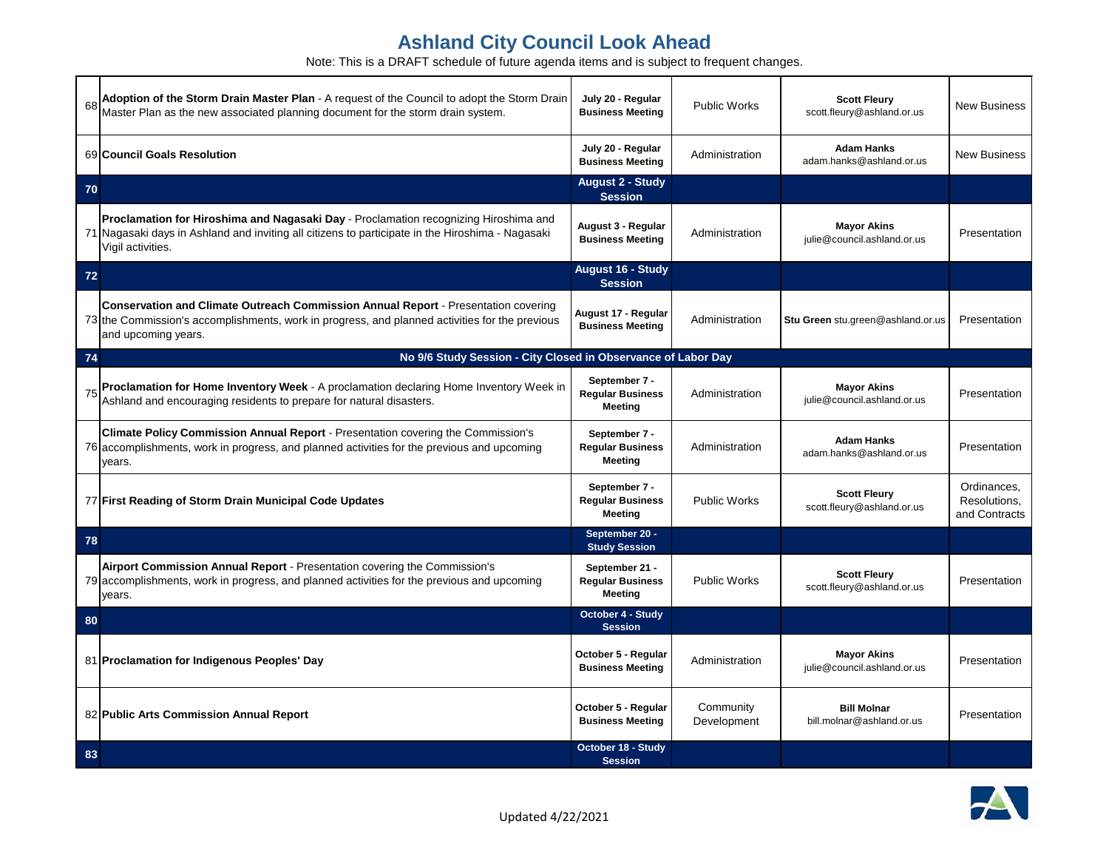|    | 68 Adoption of the Storm Drain Master Plan - A request of the Council to adopt the Storm Drain<br>Master Plan as the new associated planning document for the storm drain system.                                  | July 20 - Regular<br><b>Business Meeting</b>                | Public Works             | <b>Scott Fleury</b><br>scott.fleury@ashland.or.us | <b>New Business</b>                          |
|----|--------------------------------------------------------------------------------------------------------------------------------------------------------------------------------------------------------------------|-------------------------------------------------------------|--------------------------|---------------------------------------------------|----------------------------------------------|
|    | 69 Council Goals Resolution                                                                                                                                                                                        | July 20 - Regular<br><b>Business Meeting</b>                | Administration           | <b>Adam Hanks</b><br>adam.hanks@ashland.or.us     | <b>New Business</b>                          |
| 70 |                                                                                                                                                                                                                    | <b>August 2 - Study</b><br><b>Session</b>                   |                          |                                                   |                                              |
|    | Proclamation for Hiroshima and Nagasaki Day - Proclamation recognizing Hiroshima and<br>71 Nagasaki days in Ashland and inviting all citizens to participate in the Hiroshima - Nagasaki<br>Vigil activities.      | August 3 - Regular<br><b>Business Meeting</b>               | Administration           | <b>Mayor Akins</b><br>julie@council.ashland.or.us | Presentation                                 |
| 72 |                                                                                                                                                                                                                    | <b>August 16 - Study</b><br><b>Session</b>                  |                          |                                                   |                                              |
|    | <b>Conservation and Climate Outreach Commission Annual Report - Presentation covering</b><br>73 the Commission's accomplishments, work in progress, and planned activities for the previous<br>and upcoming years. | August 17 - Regular<br><b>Business Meeting</b>              | Administration           | Stu Green stu.green@ashland.or.us                 | Presentation                                 |
| 74 | No 9/6 Study Session - City Closed in Observance of Labor Day                                                                                                                                                      |                                                             |                          |                                                   |                                              |
| 75 | Proclamation for Home Inventory Week - A proclamation declaring Home Inventory Week in<br>Ashland and encouraging residents to prepare for natural disasters.                                                      | September 7 -<br><b>Regular Business</b><br><b>Meeting</b>  | Administration           | <b>Mayor Akins</b><br>julie@council.ashland.or.us | Presentation                                 |
|    | Climate Policy Commission Annual Report - Presentation covering the Commission's<br>76 accomplishments, work in progress, and planned activities for the previous and upcoming<br>years.                           | September 7 -<br><b>Regular Business</b><br><b>Meeting</b>  | Administration           | <b>Adam Hanks</b><br>adam.hanks@ashland.or.us     | Presentation                                 |
|    | 77 First Reading of Storm Drain Municipal Code Updates                                                                                                                                                             | September 7 -<br><b>Regular Business</b><br><b>Meeting</b>  | <b>Public Works</b>      | <b>Scott Fleury</b><br>scott.fleury@ashland.or.us | Ordinances,<br>Resolutions,<br>and Contracts |
| 78 |                                                                                                                                                                                                                    | September 20 -<br><b>Study Session</b>                      |                          |                                                   |                                              |
|    | Airport Commission Annual Report - Presentation covering the Commission's<br>79 accomplishments, work in progress, and planned activities for the previous and upcoming<br>vears.                                  | September 21 -<br><b>Regular Business</b><br><b>Meeting</b> | <b>Public Works</b>      | <b>Scott Fleury</b><br>scott.fleury@ashland.or.us | Presentation                                 |
| 80 |                                                                                                                                                                                                                    | <b>October 4 - Study</b><br><b>Session</b>                  |                          |                                                   |                                              |
|    | 81 Proclamation for Indigenous Peoples' Day                                                                                                                                                                        | October 5 - Regular<br><b>Business Meeting</b>              | Administration           | <b>Mayor Akins</b><br>julie@council.ashland.or.us | Presentation                                 |
|    | 82 Public Arts Commission Annual Report                                                                                                                                                                            | October 5 - Regular<br><b>Business Meeting</b>              | Community<br>Development | <b>Bill Molnar</b><br>bill.molnar@ashland.or.us   | Presentation                                 |
| 83 |                                                                                                                                                                                                                    | October 18 - Study<br><b>Session</b>                        |                          |                                                   |                                              |